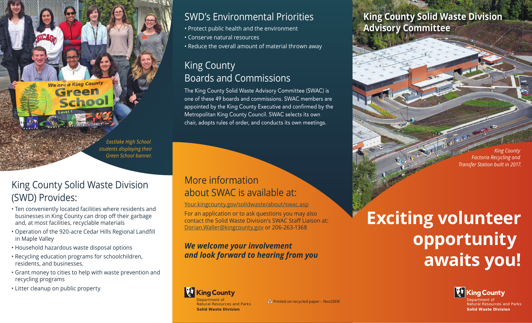*Eastlake High School students displaying their Green School banner.*

# King County Solid Waste Division (SWD) Provides:

**We are a King County** Green

School

- Ten conveniently located facilities where residents and businesses in King County can drop off their garbage and, at most facilities, recyclable materials
- Operation of the 920-acre Cedar Hills Regional Landfill in Maple Valley
- Household hazardous waste disposal options
- Recycling education programs for schoolchildren, residents, and businesses.
- Grant money to cities to help with waste prevention and recycling programs
- Litter cleanup on public property

# SWD's Environmental Priorities

- Protect public health and the environment
- Conserve natural resources
- Reduce the overall amount of material thrown away

# King County Boards and Commissions

The King County Solid Waste Advisory Committee (SWAC) is one of these 49 boards and commissions. SWAC members are appointed by the King County Executive and confirmed by the Metropolitan King County Council. SWAC selects its own chair, adopts rules of order, and conducts its own meetings.

### More information about SWAC is available at:

Your.kingcounty.gov/solidwaste/about/swac.asp

For an application or to ask questions you may also contact the Solid Waste Division's SWAC Staff Liaison at: Dorian.Waller@kingcounty.gov or 206-263-1368

*We welcome your involvement and look forward to hearing from you* 

### **King County Solid Waste Division Advisory Committee**

*King County Factoria Recycling and Transfer Station built in 2017.*

# **Exciting volunteer opportunity awaits you!**



Department of<br>Natural Resources and Parks **Solid Waste Division**

#### **King County** Department of Natural Resources and Parks

**Solid Waste Division**

Printed on recycled paper – Nov20DK